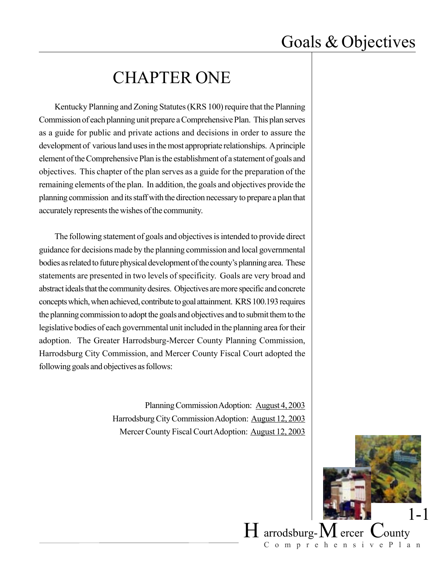### CHAPTER ONE

Kentucky Planning and Zoning Statutes (KRS 100) require that the Planning Commission of each planning unit prepare a Comprehensive Plan. This plan serves as a guide for public and private actions and decisions in order to assure the development of various land uses in the most appropriate relationships. A principle element of the Comprehensive Plan is the establishment of a statement of goals and objectives. This chapter of the plan serves as a guide for the preparation of the remaining elements of the plan. In addition, the goals and objectives provide the planning commission and its staff with the direction necessary to prepare a plan that accurately represents the wishes of the community.

The following statement of goals and objectives is intended to provide direct guidance for decisions made by the planning commission and local governmental bodies as related to future physical development of the county's planning area. These statements are presented in two levels of specificity. Goals are very broad and abstract ideals that the community desires. Objectives are more specific and concrete concepts which, when achieved, contribute to goal attainment. KRS 100.193 requires the planning commission to adopt the goals and objectives and to submit them to the legislative bodies of each governmental unit included in the planning area for their adoption. The Greater Harrodsburg-Mercer County Planning Commission, Harrodsburg City Commission, and Mercer County Fiscal Court adopted the following goals and objectives as follows:

> Planning Commission Adoption: August 4, 2003 Harrodsburg City Commission Adoption: August 12, 2003 Mercer County Fiscal Court Adoption: August 12, 2003

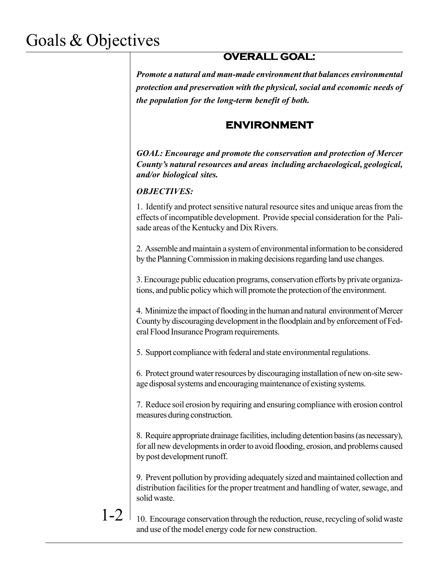### **OVERALL GOAL:**

*Promote a natural and man-made environment that balances environmental protection and preservation with the physical, social and economic needs of the population for the long-term benefit of both.*

### **ENVIRONMENT**

*GOAL: Encourage and promote the conservation and protection of Mercer County's natural resources and areas including archaeological, geological, and/or biological sites.*

#### *OBJECTIVES:*

1. Identify and protect sensitive natural resource sites and unique areas from the effects of incompatible development. Provide special consideration for the Palisade areas of the Kentucky and Dix Rivers.

2. Assemble and maintain a system of environmental information to be considered by the Planning Commission in making decisions regarding land use changes.

3. Encourage public education programs, conservation efforts by private organizations, and public policy which will promote the protection of the environment.

4. Minimize the impact of flooding in the human and natural environment of Mercer County by discouraging development in the floodplain and by enforcement of Federal Flood Insurance Program requirements.

5. Support compliance with federal and state environmental regulations.

6. Protect ground water resources by discouraging installation of new on-site sewage disposal systems and encouraging maintenance of existing systems.

7. Reduce soil erosion by requiring and ensuring compliance with erosion control measures during construction.

8. Require appropriate drainage facilities, including detention basins (as necessary), for all new developments in order to avoid flooding, erosion, and problems caused by post development runoff.

9. Prevent pollution by providing adequately sized and maintained collection and distribution facilities for the proper treatment and handling of water, sewage, and solid waste.

1-2

10. Encourage conservation through the reduction, reuse, recycling of solid waste and use of the model energy code for new construction.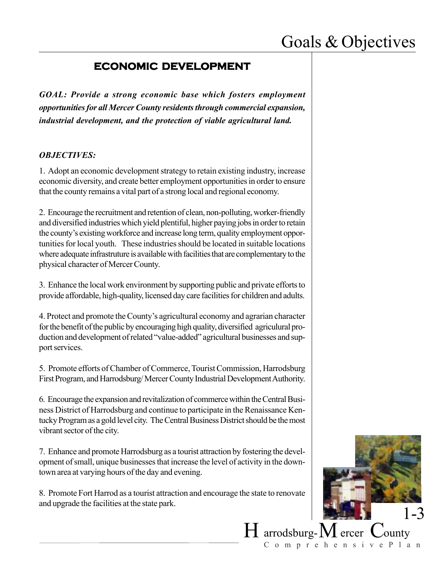#### **ECONOMIC DEVELOPMENT**

*GOAL: Provide a strong economic base which fosters employment opportunities for all Mercer County residents through commercial expansion, industrial development, and the protection of viable agricultural land.*

#### *OBJECTIVES:*

1. Adopt an economic development strategy to retain existing industry, increase economic diversity, and create better employment opportunities in order to ensure that the county remains a vital part of a strong local and regional economy.

2. Encourage the recruitment and retention of clean, non-polluting, worker-friendly and diversified industries which yield plentiful, higher paying jobs in order to retain the county's existing workforce and increase long term, quality employment opportunities for local youth. These industries should be located in suitable locations where adequate infrastruture is available with facilities that are complementary to the physical character of Mercer County.

3. Enhance the local work environment by supporting public and private efforts to provide affordable, high-quality, licensed day care facilities for children and adults.

4. Protect and promote the County's agricultural economy and agrarian character for the benefit of the public by encouraging high quality, diversified agriculural production and development of related "value-added" agricultural businesses and support services.

5. Promote efforts of Chamber of Commerce, Tourist Commission, Harrodsburg First Program, and Harrodsburg/ Mercer County Industrial Development Authority.

6. Encourage the expansion and revitalization of commerce within the Central Business District of Harrodsburg and continue to participate in the Renaissance Kentucky Program as a gold level city. The Central Business District should be the most vibrant sector of the city.

7. Enhance and promote Harrodsburg as a tourist attraction by fostering the development of small, unique businesses that increase the level of activity in the downtown area at varying hours of the day and evening.

8. Promote Fort Harrod as a tourist attraction and encourage the state to renovate and upgrade the facilities at the state park.

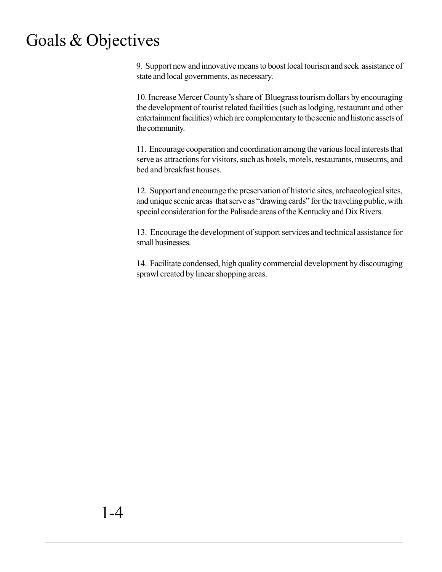9. Support new and innovative means to boost local tourism and seek assistance of state and local governments, as necessary.

10. Increase Mercer County's share of Bluegrass tourism dollars by encouraging the development of tourist related facilities (such as lodging, restaurant and other entertainment facilities) which are complementary to the scenic and historic assets of the community.

11. Encourage cooperation and coordination among the various local interests that serve as attractions for visitors, such as hotels, motels, restaurants, museums, and bed and breakfast houses.

12. Support and encourage the preservation of historic sites, archaeological sites, and unique scenic areas that serve as "drawing cards" for the traveling public, with special consideration for the Palisade areas of the Kentucky and Dix Rivers.

13. Encourage the development of support services and technical assistance for small businesses.

14. Facilitate condensed, high quality commercial development by discouraging sprawl created by linear shopping areas.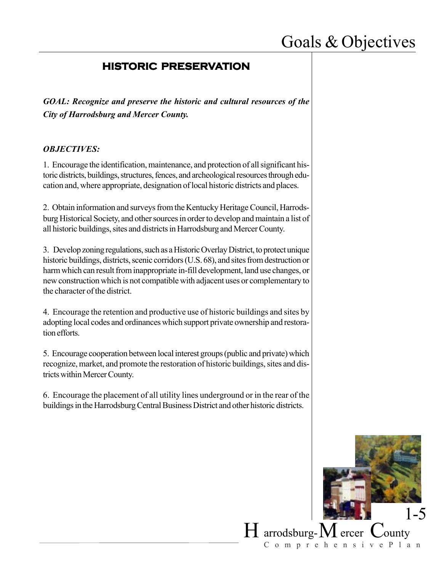### **HISTORIC PRESERVATION**

*GOAL: Recognize and preserve the historic and cultural resources of the City of Harrodsburg and Mercer County.*

#### *OBJECTIVES:*

1. Encourage the identification, maintenance, and protection of all significant historic districts, buildings, structures, fences, and archeological resources through education and, where appropriate, designation of local historic districts and places.

2. Obtain information and surveys from the Kentucky Heritage Council, Harrodsburg Historical Society, and other sources in order to develop and maintain a list of all historic buildings, sites and districts in Harrodsburg and Mercer County.

3. Develop zoning regulations, such as a Historic Overlay District, to protect unique historic buildings, districts, scenic corridors (U.S. 68), and sites from destruction or harm which can result from inappropriate in-fill development, land use changes, or new construction which is not compatible with adjacent uses or complementary to the character of the district.

4. Encourage the retention and productive use of historic buildings and sites by adopting local codes and ordinances which support private ownership and restoration efforts.

5. Encourage cooperation between local interest groups (public and private) which recognize, market, and promote the restoration of historic buildings, sites and districts within Mercer County.

6. Encourage the placement of all utility lines underground or in the rear of the buildings in the Harrodsburg Central Business District and other historic districts.

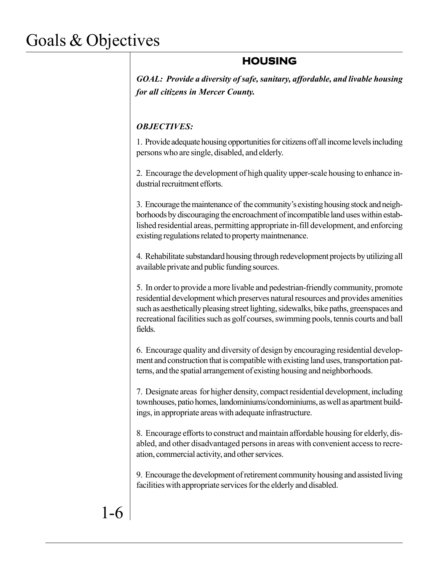### **HOUSING**

*GOAL: Provide a diversity of safe, sanitary, affordable, and livable housing for all citizens in Mercer County.*

#### *OBJECTIVES:*

1. Provide adequate housing opportunities for citizens off all income levels including persons who are single, disabled, and elderly.

2. Encourage the development of high quality upper-scale housing to enhance industrial recruitment efforts.

3. Encourage the maintenance of the community's existing housing stock and neighborhoods by discouraging the encroachment of incompatible land uses within established residential areas, permitting appropriate in-fill development, and enforcing existing regulations related to property maintnenance.

4. Rehabilitate substandard housing through redevelopment projects by utilizing all available private and public funding sources.

5. In order to provide a more livable and pedestrian-friendly community, promote residential development which preserves natural resources and provides amenities such as aesthetically pleasing street lighting, sidewalks, bike paths, greenspaces and recreational facilities such as golf courses, swimming pools, tennis courts and ball fields.

6. Encourage quality and diversity of design by encouraging residential development and construction that is compatible with existing land uses, transportation patterns, and the spatial arrangement of existing housing and neighborhoods.

7. Designate areas for higher density, compact residential development, including townhouses, patio homes, landominiums/condominiums, as well as apartment buildings, in appropriate areas with adequate infrastructure.

8. Encourage efforts to construct and maintain affordable housing for elderly, disabled, and other disadvantaged persons in areas with convenient access to recreation, commercial activity, and other services.

9. Encourage the development of retirement community housing and assisted living facilities with appropriate services for the elderly and disabled.

# 1-6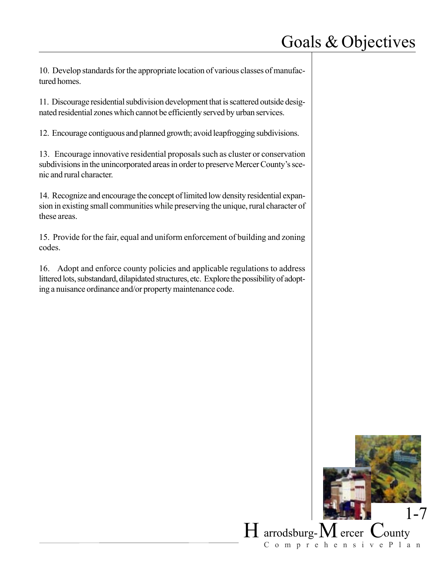10. Develop standards for the appropriate location of various classes of manufactured homes.

11. Discourage residential subdivision development that is scattered outside designated residential zones which cannot be efficiently served by urban services.

12. Encourage contiguous and planned growth; avoid leapfrogging subdivisions.

13. Encourage innovative residential proposals such as cluster or conservation subdivisions in the unincorporated areas in order to preserve Mercer County's scenic and rural character.

14. Recognize and encourage the concept of limited low density residential expansion in existing small communities while preserving the unique, rural character of these areas.

15. Provide for the fair, equal and uniform enforcement of building and zoning codes.

16. Adopt and enforce county policies and applicable regulations to address littered lots, substandard, dilapidated structures, etc. Explore the possibility of adopting a nuisance ordinance and/or property maintenance code.

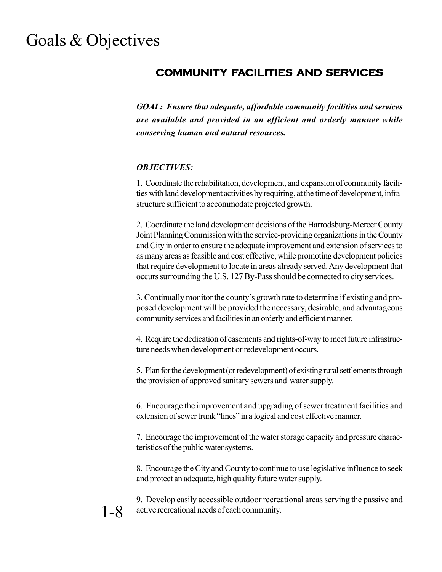### **COMMUNITY FACILITIES AND SERVICES**

*GOAL: Ensure that adequate, affordable community facilities and services are available and provided in an efficient and orderly manner while conserving human and natural resources.*

#### *OBJECTIVES:*

1. Coordinate the rehabilitation, development, and expansion of community facilities with land development activities by requiring, at the time of development, infrastructure sufficient to accommodate projected growth.

2. Coordinate the land development decisions of the Harrodsburg-Mercer County Joint Planning Commission with the service-providing organizations in the County and City in order to ensure the adequate improvement and extension of services to as many areas as feasible and cost effective, while promoting development policies that require development to locate in areas already served. Any development that occurs surrounding the U.S. 127 By-Pass should be connected to city services.

3. Continually monitor the county's growth rate to determine if existing and proposed development will be provided the necessary, desirable, and advantageous community services and facilities in an orderly and efficient manner.

4. Require the dedication of easements and rights-of-way to meet future infrastructure needs when development or redevelopment occurs.

5. Plan for the development (or redevelopment) of existing rural settlements through the provision of approved sanitary sewers and water supply.

6. Encourage the improvement and upgrading of sewer treatment facilities and extension of sewer trunk "lines" in a logical and cost effective manner.

7. Encourage the improvement of the water storage capacity and pressure characteristics of the public water systems.

8. Encourage the City and County to continue to use legislative influence to seek and protect an adequate, high quality future water supply.

9. Develop easily accessible outdoor recreational areas serving the passive and  $1 - 8$  active recreational needs of each community.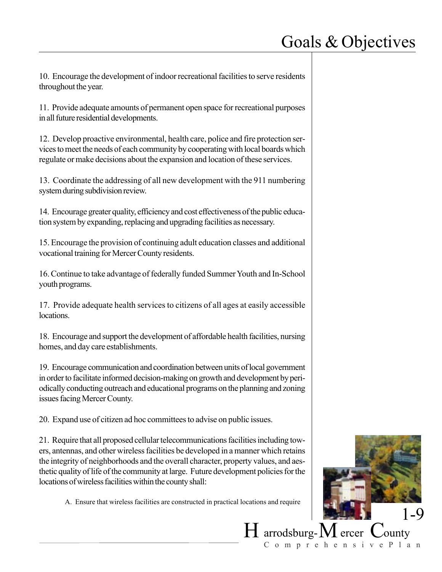10. Encourage the development of indoor recreational facilities to serve residents throughout the year.

11. Provide adequate amounts of permanent open space for recreational purposes in all future residential developments.

12. Develop proactive environmental, health care, police and fire protection services to meet the needs of each community by cooperating with local boards which regulate or make decisions about the expansion and location of these services.

13. Coordinate the addressing of all new development with the 911 numbering system during subdivision review.

14. Encourage greater quality, efficiency and cost effectiveness of the public education system by expanding, replacing and upgrading facilities as necessary.

15. Encourage the provision of continuing adult education classes and additional vocational training for Mercer County residents.

16. Continue to take advantage of federally funded Summer Youth and In-School youth programs.

17. Provide adequate health services to citizens of all ages at easily accessible locations.

18. Encourage and support the development of affordable health facilities, nursing homes, and day care establishments.

19. Encourage communication and coordination between units of local government in order to facilitate informed decision-making on growth and development by periodically conducting outreach and educational programs on the planning and zoning issues facing Mercer County.

20. Expand use of citizen ad hoc committees to advise on public issues.

21. Require that all proposed cellular telecommunications facilities including towers, antennas, and other wireless facilities be developed in a manner which retains the integrity of neighborhoods and the overall character, property values, and aesthetic quality of life of the community at large. Future development policies for the locations of wireless facilities within the county shall:

A. Ensure that wireless facilities are constructed in practical locations and require

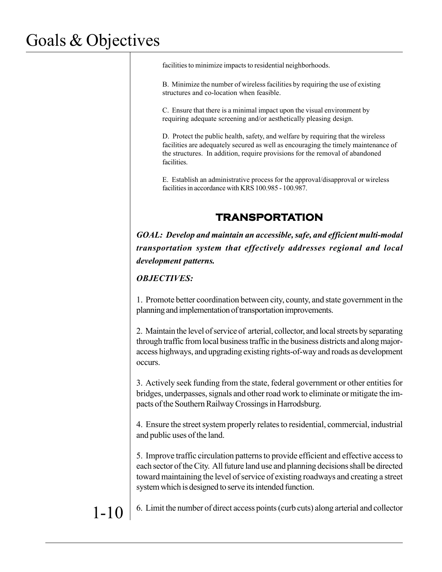facilities to minimize impacts to residential neighborhoods.

B. Minimize the number of wireless facilities by requiring the use of existing structures and co-location when feasible.

C. Ensure that there is a minimal impact upon the visual environment by requiring adequate screening and/or aesthetically pleasing design.

D. Protect the public health, safety, and welfare by requiring that the wireless facilities are adequately secured as well as encouraging the timely maintenance of the structures. In addition, require provisions for the removal of abandoned facilities.

E. Establish an administrative process for the approval/disapproval or wireless facilities in accordance with KRS 100.985 - 100.987.

### **TRANSPORTATION**

*GOAL: Develop and maintain an accessible, safe, and efficient multi-modal transportation system that effectively addresses regional and local development patterns.*

*OBJECTIVES:*

1. Promote better coordination between city, county, and state government in the planning and implementation of transportation improvements.

2. Maintain the level of service of arterial, collector, and local streets by separating through traffic from local business traffic in the business districts and along majoraccess highways, and upgrading existing rights-of-way and roads as development occurs.

3. Actively seek funding from the state, federal government or other entities for bridges, underpasses, signals and other road work to eliminate or mitigate the impacts of the Southern Railway Crossings in Harrodsburg.

4. Ensure the street system properly relates to residential, commercial, industrial and public uses of the land.

5. Improve traffic circulation patterns to provide efficient and effective access to each sector of the City. All future land use and planning decisions shall be directed toward maintaining the level of service of existing roadways and creating a street system which is designed to serve its intended function.

 $1-10$  6. Limit the number of direct access points (curb cuts) along arterial and collector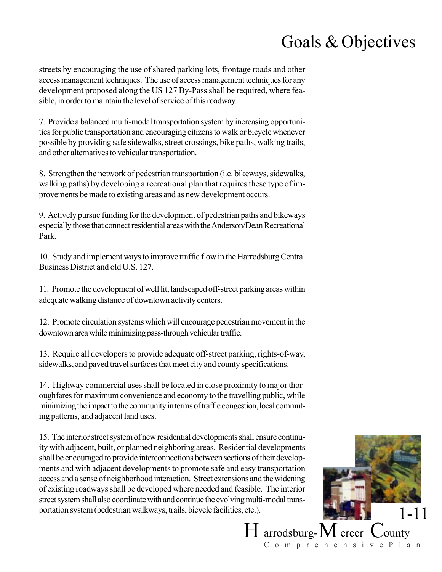streets by encouraging the use of shared parking lots, frontage roads and other access management techniques. The use of access management techniques for any development proposed along the US 127 By-Pass shall be required, where feasible, in order to maintain the level of service of this roadway.

7. Provide a balanced multi-modal transportation system by increasing opportunities for public transportation and encouraging citizens to walk or bicycle whenever possible by providing safe sidewalks, street crossings, bike paths, walking trails, and other alternatives to vehicular transportation.

8. Strengthen the network of pedestrian transportation (i.e. bikeways, sidewalks, walking paths) by developing a recreational plan that requires these type of improvements be made to existing areas and as new development occurs.

9. Actively pursue funding for the development of pedestrian paths and bikeways especially those that connect residential areas with the Anderson/Dean Recreational Park.

10. Study and implement ways to improve traffic flow in the Harrodsburg Central Business District and old U.S. 127.

11. Promote the development of well lit, landscaped off-street parking areas within adequate walking distance of downtown activity centers.

12. Promote circulation systems which will encourage pedestrian movement in the downtown area while minimizing pass-through vehicular traffic.

13. Require all developers to provide adequate off-street parking, rights-of-way, sidewalks, and paved travel surfaces that meet city and county specifications.

14. Highway commercial uses shall be located in close proximity to major thoroughfares for maximum convenience and economy to the travelling public, while minimizing the impact to the community in terms of traffic congestion, local commuting patterns, and adjacent land uses.

15. The interior street system of new residential developments shall ensure continuity with adjacent, built, or planned neighboring areas. Residential developments shall be encouraged to provide interconnections between sections of their developments and with adjacent developments to promote safe and easy transportation access and a sense of neighborhood interaction. Street extensions and the widening of existing roadways shall be developed where needed and feasible. The interior street system shall also coordinate with and continue the evolving multi-modal transportation system (pedestrian walkways, trails, bicycle facilities, etc.).

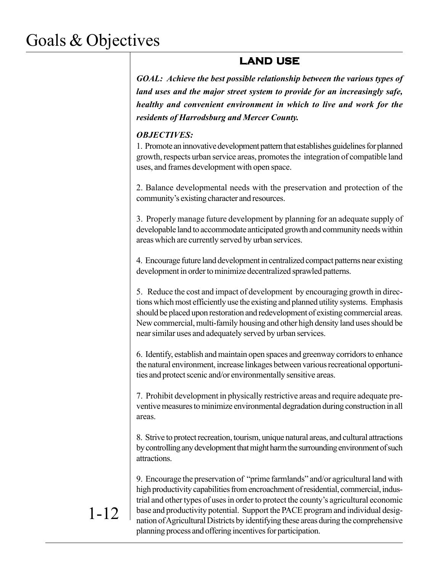### **LAND USE**

*GOAL: Achieve the best possible relationship between the various types of land uses and the major street system to provide for an increasingly safe, healthy and convenient environment in which to live and work for the residents of Harrodsburg and Mercer County.*

#### *OBJECTIVES:*

1. Promote an innovative development pattern that establishes guidelines for planned growth, respects urban service areas, promotes the integration of compatible land uses, and frames development with open space.

2. Balance developmental needs with the preservation and protection of the community's existing character and resources.

3. Properly manage future development by planning for an adequate supply of developable land to accommodate anticipated growth and community needs within areas which are currently served by urban services.

4. Encourage future land development in centralized compact patterns near existing development in order to minimize decentralized sprawled patterns.

5. Reduce the cost and impact of development by encouraging growth in directions which most efficiently use the existing and planned utility systems. Emphasis should be placed upon restoration and redevelopment of existing commercial areas. New commercial, multi-family housing and other high density land uses should be near similar uses and adequately served by urban services.

6. Identify, establish and maintain open spaces and greenway corridors to enhance the natural environment, increase linkages between various recreational opportunities and protect scenic and/or environmentally sensitive areas.

7. Prohibit development in physically restrictive areas and require adequate preventive measures to minimize environmental degradation during construction in all areas.

8. Strive to protect recreation, tourism, unique natural areas, and cultural attractions by controlling any development that might harm the surrounding environment of such attractions.

9. Encourage the preservation of "prime farmlands" and/or agricultural land with high productivity capabilities from encroachment of residential, commercial, industrial and other types of uses in order to protect the county's agricultural economic base and productivity potential. Support the PACE program and individual designation of Agricultural Districts by identifying these areas during the comprehensive planning process and offering incentives for participation.

### 1-12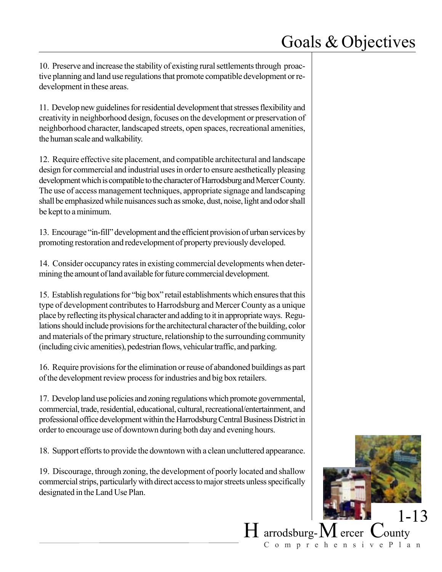10. Preserve and increase the stability of existing rural settlements through proactive planning and land use regulations that promote compatible development or redevelopment in these areas.

11. Develop new guidelines for residential development that stresses flexibility and creativity in neighborhood design, focuses on the development or preservation of neighborhood character, landscaped streets, open spaces, recreational amenities, the human scale and walkability.

12. Require effective site placement, and compatible architectural and landscape design for commercial and industrial uses in order to ensure aesthetically pleasing development which is compatible to the character of Harrodsburg and Mercer County. The use of access management techniques, appropriate signage and landscaping shall be emphasized while nuisances such as smoke, dust, noise, light and odor shall be kept to a minimum.

13. Encourage "in-fill" development and the efficient provision of urban services by promoting restoration and redevelopment of property previously developed.

14. Consider occupancy rates in existing commercial developments when determining the amount of land available for future commercial development.

15. Establish regulations for "big box" retail establishments which ensures that this type of development contributes to Harrodsburg and Mercer County as a unique place by reflecting its physical character and adding to it in appropriate ways. Regulations should include provisions for the architectural character of the building, color and materials of the primary structure, relationship to the surrounding community (including civic amenities), pedestrian flows, vehicular traffic, and parking.

16. Require provisions for the elimination or reuse of abandoned buildings as part of the development review process for industries and big box retailers.

17. Develop land use policies and zoning regulations which promote governmental, commercial, trade, residential, educational, cultural, recreational/entertainment, and professional office development within the Harrodsburg Central Business District in order to encourage use of downtown during both day and evening hours.

18. Support efforts to provide the downtown with a clean uncluttered appearance.

19. Discourage, through zoning, the development of poorly located and shallow commercial strips, particularly with direct access to major streets unless specifically designated in the Land Use Plan.

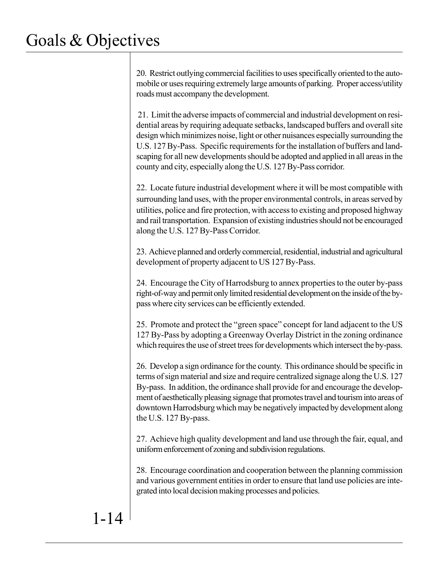20. Restrict outlying commercial facilities to uses specifically oriented to the automobile or uses requiring extremely large amounts of parking. Proper access/utility roads must accompany the development.

 21. Limit the adverse impacts of commercial and industrial development on residential areas by requiring adequate setbacks, landscaped buffers and overall site design which minimizes noise, light or other nuisances especially surrounding the U.S. 127 By-Pass. Specific requirements for the installation of buffers and landscaping for all new developments should be adopted and applied in all areas in the county and city, especially along the U.S. 127 By-Pass corridor.

22. Locate future industrial development where it will be most compatible with surrounding land uses, with the proper environmental controls, in areas served by utilities, police and fire protection, with access to existing and proposed highway and rail transportation. Expansion of existing industries should not be encouraged along the U.S. 127 By-Pass Corridor.

23. Achieve planned and orderly commercial, residential, industrial and agricultural development of property adjacent to US 127 By-Pass.

24. Encourage the City of Harrodsburg to annex properties to the outer by-pass right-of-way and permit only limited residential development on the inside of the bypass where city services can be efficiently extended.

25. Promote and protect the "green space" concept for land adjacent to the US 127 By-Pass by adopting a Greenway Overlay District in the zoning ordinance which requires the use of street trees for developments which intersect the by-pass.

26. Develop a sign ordinance for the county. This ordinance should be specific in terms of sign material and size and require centralized signage along the U.S. 127 By-pass. In addition, the ordinance shall provide for and encourage the development of aesthetically pleasing signage that promotes travel and tourism into areas of downtown Harrodsburg which may be negatively impacted by development along the U.S. 127 By-pass.

27. Achieve high quality development and land use through the fair, equal, and uniform enforcement of zoning and subdivision regulations.

28. Encourage coordination and cooperation between the planning commission and various government entities in order to ensure that land use policies are integrated into local decision making processes and policies.

# 1-14